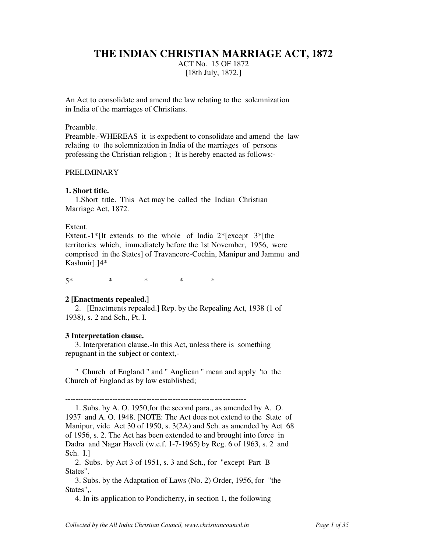# **THE INDIAN CHRISTIAN MARRIAGE ACT, 1872**

ACT No. 15 OF 1872 [18th July, 1872.]

An Act to consolidate and amend the law relating to the solemnization in India of the marriages of Christians.

### Preamble.

Preamble.-WHEREAS it is expedient to consolidate and amend the law relating to the solemnization in India of the marriages of persons professing the Christian religion ; It is hereby enacted as follows:-

## PRELIMINARY

### **1. Short title.**

 1.Short title. This Act may be called the Indian Christian Marriage Act, 1872.

### Extent.

Extent.-1\* [It extends to the whole of India  $2*$  [except 3\* [the territories which, immediately before the 1st November, 1956, were comprised in the States] of Travancore-Cochin, Manipur and Jammu and Kashmir].]4\*

5\* \* \* \* \*

### **2 [Enactments repealed.]**

 2. [Enactments repealed.] Rep. by the Repealing Act, 1938 (1 of 1938), s. 2 and Sch., Pt. I.

#### **3 Interpretation clause.**

 3. Interpretation clause.-In this Act, unless there is something repugnant in the subject or context,-

 " Church of England " and " Anglican " mean and apply 'to the Church of England as by law established;

---------------------------------------------------------------------

 1. Subs. by A. O. 1950,for the second para., as amended by A. O. 1937 and A. O. 1948. [NOTE: The Act does not extend to the State of Manipur, vide Act 30 of 1950, s. 3(2A) and Sch. as amended by Act 68 of 1956, s. 2. The Act has been extended to and brought into force in Dadra and Nagar Haveli (w.e.f. 1-7-1965) by Reg. 6 of 1963, s. 2 and Sch. I.]

 2. Subs. by Act 3 of 1951, s. 3 and Sch., for "except Part B States".

 3. Subs. by the Adaptation of Laws (No. 2) Order, 1956, for "the States",.

4. In its application to Pondicherry, in section 1, the following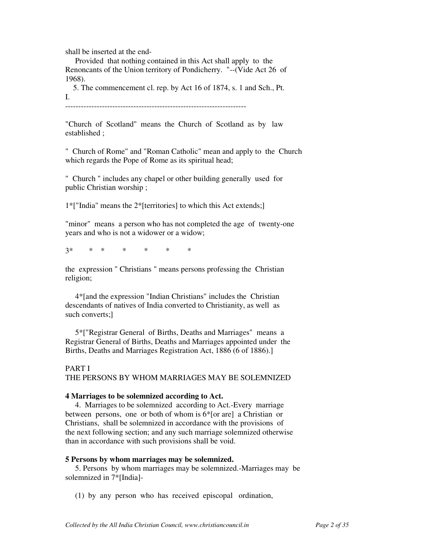shall be inserted at the end-

 Provided that nothing contained in this Act shall apply to the Renoncants of the Union territory of Pondicherry. "--(Vide Act 26 of 1968).

 5. The commencement cl. rep. by Act 16 of 1874, s. 1 and Sch., Pt. I.

"Church of Scotland" means the Church of Scotland as by law established ;

" Church of Rome" and "Roman Catholic" mean and apply to the Church which regards the Pope of Rome as its spiritual head;

" Church " includes any chapel or other building generally used for public Christian worship ;

1\*["India" means the 2\*[territories] to which this Act extends;]

"minor" means a person who has not completed the age of twenty-one years and who is not a widower or a widow;

3\* \* \* \* \* \* \*

the expression " Christians " means persons professing the Christian religion;

 4\*[and the expression "Indian Christians" includes the Christian descendants of natives of India converted to Christianity, as well as such converts;]

 5\*["Registrar General of Births, Deaths and Marriages" means a Registrar General of Births, Deaths and Marriages appointed under the Births, Deaths and Marriages Registration Act, 1886 (6 of 1886).]

PART I THE PERSONS BY WHOM MARRIAGES MAY BE SOLEMNIZED

### **4 Marriages to be solemnized according to Act.**

 4. Marriages to be solemnized according to Act.-Every marriage between persons, one or both of whom is 6\*[or are] a Christian or Christians, shall be solemnized in accordance with the provisions of the next following section; and any such marriage solemnized otherwise than in accordance with such provisions shall be void.

### **5 Persons by whom marriages may be solemnized.**

 5. Persons by whom marriages may be solemnized.-Marriages may be solemnized in 7\*[India]-

(1) by any person who has received episcopal ordination,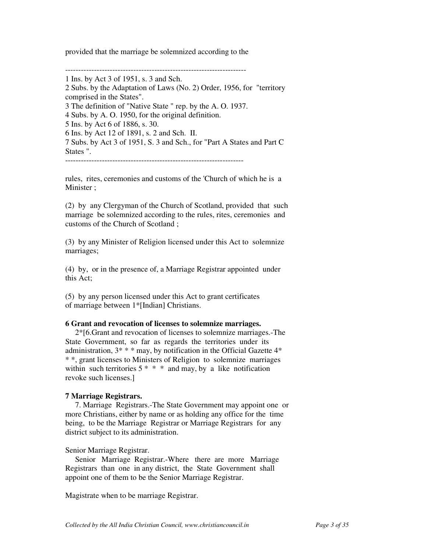provided that the marriage be solemnized according to the

---------------------------------------------------------------------

1 Ins. by Act 3 of 1951, s. 3 and Sch. 2 Subs. by the Adaptation of Laws (No. 2) Order, 1956, for "territory comprised in the States". 3 The definition of "Native State " rep. by the A. O. 1937. 4 Subs. by A. O. 1950, for the original definition. 5 Ins. by Act 6 of 1886, s. 30. 6 Ins. by Act 12 of 1891, s. 2 and Sch. II. 7 Subs. by Act 3 of 1951, S. 3 and Sch., for "Part A States and Part C States ".

--------------------------------------------------------------------

rules, rites, ceremonies and customs of the 'Church of which he is a Minister ;

(2) by any Clergyman of the Church of Scotland, provided that such marriage be solemnized according to the rules, rites, ceremonies and customs of the Church of Scotland ;

(3) by any Minister of Religion licensed under this Act to solemnize marriages;

(4) by, or in the presence of, a Marriage Registrar appointed under this Act;

(5) by any person licensed under this Act to grant certificates of marriage between 1\*[Indian] Christians.

## **6 Grant and revocation of licenses to solemnize marriages.**

 2\*[6.Grant and revocation of licenses to solemnize marriages.-The State Government, so far as regards the territories under its administration,  $3^* * *$  may, by notification in the Official Gazette  $4^*$ \* \*, grant licenses to Ministers of Religion to solemnize marriages within such territories  $5 * * *$  and may, by a like notification revoke such licenses.]

## **7 Marriage Registrars.**

 7. Marriage Registrars.-The State Government may appoint one or more Christians, either by name or as holding any office for the time being, to be the Marriage Registrar or Marriage Registrars for any district subject to its administration.

Senior Marriage Registrar.

 Senior Marriage Registrar.-Where there are more Marriage Registrars than one in any district, the State Government shall appoint one of them to be the Senior Marriage Registrar.

Magistrate when to be marriage Registrar.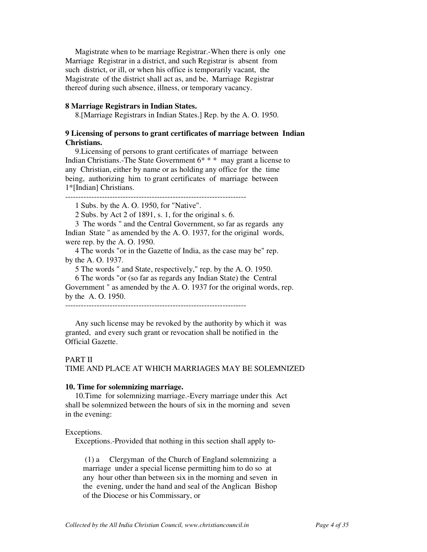Magistrate when to be marriage Registrar.-When there is only one Marriage Registrar in a district, and such Registrar is absent from such district, or ill, or when his office is temporarily vacant, the Magistrate of the district shall act as, and be, Marriage Registrar thereof during such absence, illness, or temporary vacancy.

### **8 Marriage Registrars in Indian States.**

8.[Marriage Registrars in Indian States.] Rep. by the A. O. 1950.

## **9 Licensing of persons to grant certificates of marriage between Indian Christians.**

 9.Licensing of persons to grant certificates of marriage between Indian Christians.-The State Government 6\* \* \* may grant a license to any Christian, either by name or as holding any office for the time being, authorizing him to grant certificates of marriage between 1\*[Indian] Christians.

---------------------------------------------------------------------

1 Subs. by the A. O. 1950, for "Native".

2 Subs. by Act 2 of 1891, s. 1, for the original s. 6.

 3 The words " and the Central Government, so far as regards any Indian State " as amended by the A. O. 1937, for the original words, were rep. by the A. O. 1950.

 4 The words "or in the Gazette of India, as the case may be" rep. by the A. O. 1937.

5 The words " and State, respectively," rep. by the A. O. 1950.

 6 The words "or (so far as regards any Indian State) the Central Government " as amended by the A. O. 1937 for the original words, rep. by the A. O. 1950.

---------------------------------------------------------------------

 Any such license may be revoked by the authority by which it was granted, and every such grant or revocation shall be notified in the Official Gazette.

### PART II

TIME AND PLACE AT WHICH MARRIAGES MAY BE SOLEMNIZED

### **10. Time for solemnizing marriage.**

 10.Time for solemnizing marriage.-Every marriage under this Act shall be solemnized between the hours of six in the morning and seven in the evening:

#### Exceptions.

Exceptions.-Provided that nothing in this section shall apply to-

 (1) a Clergyman of the Church of England solemnizing a marriage under a special license permitting him to do so at any hour other than between six in the morning and seven in the evening, under the hand and seal of the Anglican Bishop of the Diocese or his Commissary, or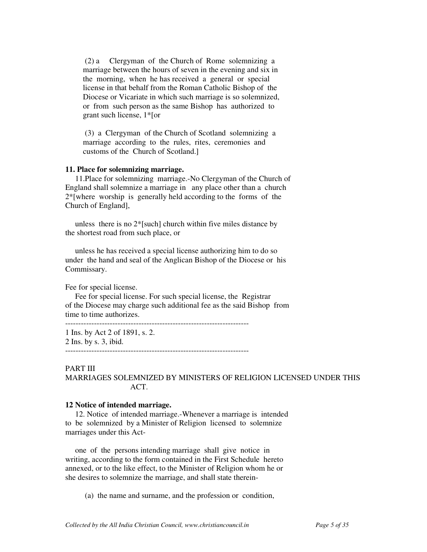(2) a Clergyman of the Church of Rome solemnizing a marriage between the hours of seven in the evening and six in the morning, when he has received a general or special license in that behalf from the Roman Catholic Bishop of the Diocese or Vicariate in which such marriage is so solemnized, or from such person as the same Bishop has authorized to grant such license, 1\*[or

 (3) a Clergyman of the Church of Scotland solemnizing a marriage according to the rules, rites, ceremonies and customs of the Church of Scotland.]

### **11. Place for solemnizing marriage.**

 11.Place for solemnizing marriage.-No Clergyman of the Church of England shall solemnize a marriage in any place other than a church 2\*[where worship is generally held according to the forms of the Church of England],

 unless there is no 2\*[such] church within five miles distance by the shortest road from such place, or

 unless he has received a special license authorizing him to do so under the hand and seal of the Anglican Bishop of the Diocese or his Commissary.

Fee for special license.

 Fee for special license. For such special license, the Registrar of the Diocese may charge such additional fee as the said Bishop from time to time authorizes.

1 Ins. by Act 2 of 1891, s. 2.

2 Ins. by s. 3, ibid. ----------------------------------------------------------------------

PART III

MARRIAGES SOLEMNIZED BY MINISTERS OF RELIGION LICENSED UNDER THIS ACT.

#### **12 Notice of intended marriage.**

 12. Notice of intended marriage.-Whenever a marriage is intended to be solemnized by a Minister of Religion licensed to solemnize marriages under this Act-

 one of the persons intending marriage shall give notice in writing, according to the form contained in the First Schedule hereto annexed, or to the like effect, to the Minister of Religion whom he or she desires to solemnize the marriage, and shall state therein-

(a) the name and surname, and the profession or condition,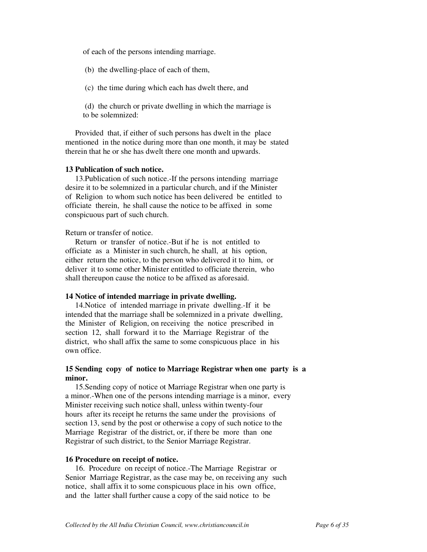of each of the persons intending marriage.

(b) the dwelling-place of each of them,

(c) the time during which each has dwelt there, and

 (d) the church or private dwelling in which the marriage is to be solemnized:

 Provided that, if either of such persons has dwelt in the place mentioned in the notice during more than one month, it may be stated therein that he or she has dwelt there one month and upwards.

#### **13 Publication of such notice.**

 13.Publication of such notice.-If the persons intending marriage desire it to be solemnized in a particular church, and if the Minister of Religion to whom such notice has been delivered be entitled to officiate therein, he shall cause the notice to be affixed in some conspicuous part of such church.

Return or transfer of notice.

 Return or transfer of notice.-But if he is not entitled to officiate as a Minister in such church, he shall, at his option, either return the notice, to the person who delivered it to him, or deliver it to some other Minister entitled to officiate therein, who shall thereupon cause the notice to be affixed as aforesaid.

#### **14 Notice of intended marriage in private dwelling.**

 14.Notice of intended marriage in private dwelling.-If it be intended that the marriage shall be solemnized in a private dwelling, the Minister of Religion, on receiving the notice prescribed in section 12, shall forward it to the Marriage Registrar of the district, who shall affix the same to some conspicuous place in his own office.

## **15 Sending copy of notice to Marriage Registrar when one party is a minor.**

 15.Sending copy of notice ot Marriage Registrar when one party is a minor.-When one of the persons intending marriage is a minor, every Minister receiving such notice shall, unless within twenty-four hours after its receipt he returns the same under the provisions of section 13, send by the post or otherwise a copy of such notice to the Marriage Registrar of the district, or, if there be more than one Registrar of such district, to the Senior Marriage Registrar.

### **16 Procedure on receipt of notice.**

 16. Procedure on receipt of notice.-The Marriage Registrar or Senior Marriage Registrar, as the case may be, on receiving any such notice, shall affix it to some conspicuous place in his own office, and the latter shall further cause a copy of the said notice to be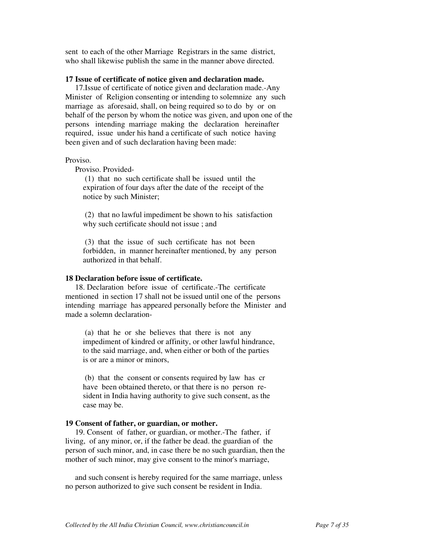sent to each of the other Marriage Registrars in the same district, who shall likewise publish the same in the manner above directed.

### **17 Issue of certificate of notice given and declaration made.**

 17.Issue of certificate of notice given and declaration made.-Any Minister of Religion consenting or intending to solemnize any such marriage as aforesaid, shall, on being required so to do by or on behalf of the person by whom the notice was given, and upon one of the persons intending marriage making the declaration hereinafter required, issue under his hand a certificate of such notice having been given and of such declaration having been made:

### Proviso.

Proviso. Provided-

 (1) that no such certificate shall be issued until the expiration of four days after the date of the receipt of the notice by such Minister;

 (2) that no lawful impediment be shown to his satisfaction why such certificate should not issue ; and

 (3) that the issue of such certificate has not been forbidden, in manner hereinafter mentioned, by any person authorized in that behalf.

### **18 Declaration before issue of certificate.**

 18. Declaration before issue of certificate.-The certificate mentioned in section 17 shall not be issued until one of the persons intending marriage has appeared personally before the Minister and made a solemn declaration-

 (a) that he or she believes that there is not any impediment of kindred or affinity, or other lawful hindrance, to the said marriage, and, when either or both of the parties is or are a minor or minors,

 (b) that the consent or consents required by law has cr have been obtained thereto, or that there is no person re sident in India having authority to give such consent, as the case may be.

### **19 Consent of father, or guardian, or mother.**

 19. Consent of father, or guardian, or mother.-The father, if living, of any minor, or, if the father be dead. the guardian of the person of such minor, and, in case there be no such guardian, then the mother of such minor, may give consent to the minor's marriage,

 and such consent is hereby required for the same marriage, unless no person authorized to give such consent be resident in India.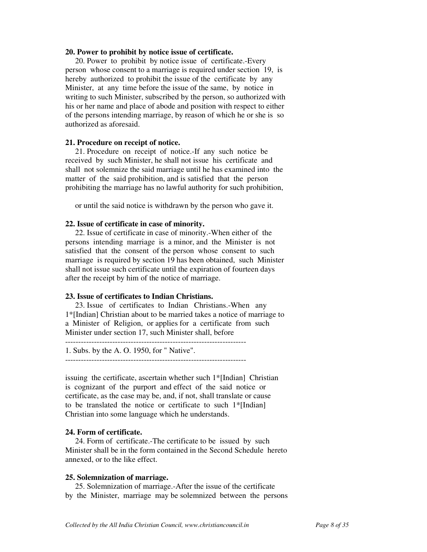### **20. Power to prohibit by notice issue of certificate.**

 20. Power to prohibit by notice issue of certificate.-Every person whose consent to a marriage is required under section 19, is hereby authorized to prohibit the issue of the certificate by any Minister, at any time before the issue of the same, by notice in writing to such Minister, subscribed by the person, so authorized with his or her name and place of abode and position with respect to either of the persons intending marriage, by reason of which he or she is so authorized as aforesaid.

#### **21. Procedure on receipt of notice.**

 21. Procedure on receipt of notice.-If any such notice be received by such Minister, he shall not issue his certificate and shall not solemnize the said marriage until he has examined into the matter of the said prohibition, and is satisfied that the person prohibiting the marriage has no lawful authority for such prohibition,

or until the said notice is withdrawn by the person who gave it.

### **22. Issue of certificate in case of minority.**

 22. Issue of certificate in case of minority.-When either of the persons intending marriage is a minor, and the Minister is not satisfied that the consent of the person whose consent to such marriage is required by section 19 has been obtained, such Minister shall not issue such certificate until the expiration of fourteen days after the receipt by him of the notice of marriage.

#### **23. Issue of certificates to Indian Christians.**

 23. Issue of certificates to Indian Christians.-When any 1\*[Indian] Christian about to be married takes a notice of marriage to a Minister of Religion, or applies for a certificate from such Minister under section 17, such Minister shall, before

---------------------------------------------------------------------

1. Subs. by the A. O. 1950, for " Native".

issuing the certificate, ascertain whether such 1\*[Indian] Christian is cognizant of the purport and effect of the said notice or certificate, as the case may be, and, if not, shall translate or cause to be translated the notice or certificate to such 1\*[Indian] Christian into some language which he understands.

### **24. Form of certificate.**

 24. Form of certificate.-The certificate to be issued by such Minister shall be in the form contained in the Second Schedule hereto annexed, or to the like effect.

#### **25. Solemnization of marriage.**

 25. Solemnization of marriage.-After the issue of the certificate by the Minister, marriage may be solemnized between the persons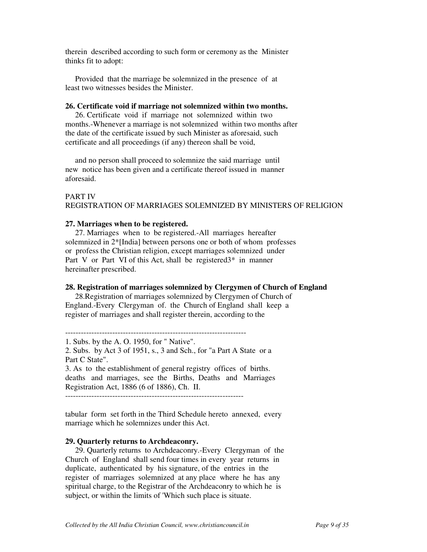therein described according to such form or ceremony as the Minister thinks fit to adopt:

 Provided that the marriage be solemnized in the presence of at least two witnesses besides the Minister.

### **26. Certificate void if marriage not solemnized within two months.**

 26. Certificate void if marriage not solemnized within two months.-Whenever a marriage is not solemnized within two months after the date of the certificate issued by such Minister as aforesaid, such certificate and all proceedings (if any) thereon shall be void,

 and no person shall proceed to solemnize the said marriage until new notice has been given and a certificate thereof issued in manner aforesaid.

### PART IV REGISTRATION OF MARRIAGES SOLEMNIZED BY MINISTERS OF RELIGION

### **27. Marriages when to be registered.**

 27. Marriages when to be registered.-All marriages hereafter solemnized in 2\*[India] between persons one or both of whom professes or profess the Christian religion, except marriages solemnized under Part V or Part VI of this Act, shall be registered 3<sup>\*</sup> in manner hereinafter prescribed.

## **28. Registration of marriages solemnized by Clergymen of Church of England**

 28.Registration of marriages solemnized by Clergymen of Church of England.-Every Clergyman of. the Church of England shall keep a register of marriages and shall register therein, according to the

---------------------------------------------------------------------

1. Subs. by the A. O. 1950, for " Native". 2. Subs. by Act 3 of 1951, s., 3 and Sch., for "a Part A State or a Part C State". 3. As to the establishment of general registry offices of births. deaths and marriages, see the Births, Deaths and Marriages Registration Act, 1886 (6 of 1886), Ch. II. --------------------------------------------------------------------

tabular form set forth in the Third Schedule hereto annexed, every marriage which he solemnizes under this Act.

### **29. Quarterly returns to Archdeaconry.**

 29. Quarterly returns to Archdeaconry.-Every Clergyman of the Church of England shall send four times in every year returns in duplicate, authenticated by his signature, of the entries in the register of marriages solemnized at any place where he has any spiritual charge, to the Registrar of the Archdeaconry to which he is subject, or within the limits of 'Which such place is situate.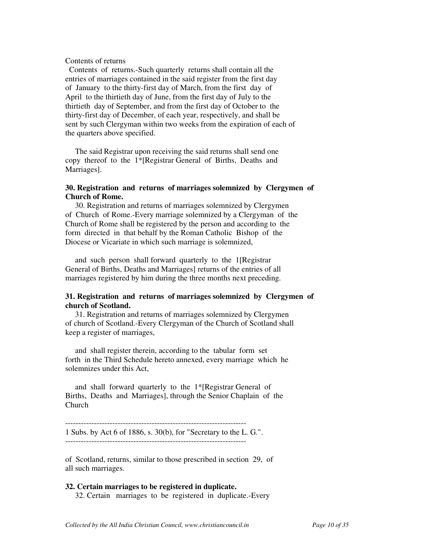### Contents of returns

 Contents of returns.-Such quarterly returns shall contain all the entries of marriages contained in the said register from the first day of January to the thirty-first day of March, from the first day of April to the thirtieth day of June, from the first day of July to the thirtieth day of September, and from the first day of October to the thirty-first day of December, of each year, respectively, and shall be sent by such Clergyman within two weeks from the expiration of each of the quarters above specified.

 The said Registrar upon receiving the said returns shall send one copy thereof to the 1\*[Registrar General of Births, Deaths and Marriages].

## **30. Registration and returns of marriages solemnized by Clergymen of Church of Rome.**

 30. Registration and returns of marriages solemnized by Clergymen of Church of Rome.-Every marriage solemnized by a Clergyman of the Church of Rome shall be registered by the person and according to the form directed in that behalf by the Roman Catholic Bishop of the Diocese or Vicariate in which such marriage is solemnized,

 and such person shall forward quarterly to the 1[Registrar General of Births, Deaths and Marriages] returns of the entries of all marriages registered by him during the three months next preceding.

## **31. Registration and returns of marriages solemnized by Clergymen of church of Scotland.**

 31. Registration and returns of marriages solemnized by Clergymen of church of Scotland.-Every Clergyman of the Church of Scotland shall keep a register of marriages,

 and shall register therein, according to the tabular form set forth in the Third Schedule hereto annexed, every marriage which he solemnizes under this Act,

 and shall forward quarterly to the 1\*[Registrar General of Births, Deaths and Marriages], through the Senior Chaplain of the Church

--------------------------------------------------------------------- 1 Subs. by Act 6 of 1886, s. 30(b), for "Secretary to the L. G.".

of Scotland, returns, similar to those prescribed in section 29, of all such marriages.

### **32. Certain marriages to be registered in duplicate.**  32. Certain marriages to be registered in duplicate.-Every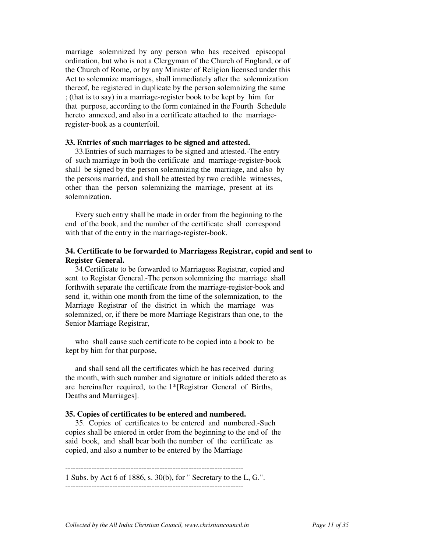marriage solemnized by any person who has received episcopal ordination, but who is not a Clergyman of the Church of England, or of the Church of Rome, or by any Minister of Religion licensed under this Act to solemnize marriages, shall immediately after the solemnization thereof, be registered in duplicate by the person solemnizing the same ; (that is to say) in a marriage-register book to be kept by him for that purpose, according to the form contained in the Fourth Schedule hereto annexed, and also in a certificate attached to the marriageregister-book as a counterfoil.

#### **33. Entries of such marriages to be signed and attested.**

 33.Entries of such marriages to be signed and attested.-The entry of such marriage in both the certificate and marriage-register-book shall be signed by the person solemnizing the marriage, and also by the persons married, and shall be attested by two credible witnesses, other than the person solemnizing the marriage, present at its solemnization.

 Every such entry shall be made in order from the beginning to the end of the book, and the number of the certificate shall correspond with that of the entry in the marriage-register-book.

## **34. Certificate to be forwarded to Marriagess Registrar, copid and sent to Register General.**

 34.Certificate to be forwarded to Marriagess Registrar, copied and sent to Registar General.-The person solemnizing the marriage shall forthwith separate the certificate from the marriage-register-book and send it, within one month from the time of the solemnization, to the Marriage Registrar of the district in which the marriage was solemnized, or, if there be more Marriage Registrars than one, to the Senior Marriage Registrar,

 who shall cause such certificate to be copied into a book to be kept by him for that purpose,

 and shall send all the certificates which he has received during the month, with such number and signature or initials added thereto as are hereinafter required, to the 1\*[Registrar General of Births, Deaths and Marriages].

#### **35. Copies of certificates to be entered and numbered.**

 35. Copies of certificates to be entered and numbered.-Such copies shall be entered in order from the beginning to the end of the said book, and shall bear both the number of the certificate as copied, and also a number to be entered by the Marriage

--------------------------------------------------------------------

1 Subs. by Act 6 of 1886, s. 30(b), for " Secretary to the L, G.". --------------------------------------------------------------------

*Collected by the All India Christian Council, www.christiancouncil.in Page 11 of 35*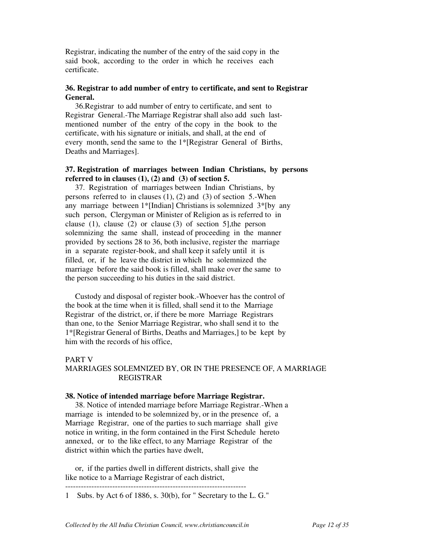Registrar, indicating the number of the entry of the said copy in the said book, according to the order in which he receives each certificate.

## **36. Registrar to add number of entry to certificate, and sent to Registrar General.**

 36.Registrar to add number of entry to certificate, and sent to Registrar General.-The Marriage Registrar shall also add such lastmentioned number of the entry of the copy in the book to the certificate, with his signature or initials, and shall, at the end of every month, send the same to the 1\*[Registrar General of Births, Deaths and Marriages].

## **37. Registration of marriages between Indian Christians, by persons referred to in clauses (1), (2) and (3) of section 5.**

 37. Registration of marriages between Indian Christians, by persons referred to in clauses  $(1)$ ,  $(2)$  and  $(3)$  of section 5.-When any marriage between 1\*[Indian] Christians is solemnized 3\*[by any such person, Clergyman or Minister of Religion as is referred to in clause (1), clause (2) or clause (3) of section 5],the person solemnizing the same shall, instead of proceeding in the manner provided by sections 28 to 36, both inclusive, register the marriage in a separate register-book, and shall keep it safely until it is filled, or, if he leave the district in which he solemnized the marriage before the said book is filled, shall make over the same to the person succeeding to his duties in the said district.

 Custody and disposal of register book.-Whoever has the control of the book at the time when it is filled, shall send it to the Marriage Registrar of the district, or, if there be more Marriage Registrars than one, to the Senior Marriage Registrar, who shall send it to the 1\*[Registrar General of Births, Deaths and Marriages,] to be kept by him with the records of his office,

## PART V

## MARRIAGES SOLEMNIZED BY, OR IN THE PRESENCE OF, A MARRIAGE REGISTRAR

### **38. Notice of intended marriage before Marriage Registrar.**

 38. Notice of intended marriage before Marriage Registrar.-When a marriage is intended to be solemnized by, or in the presence of, a Marriage Registrar, one of the parties to such marriage shall give notice in writing, in the form contained in the First Schedule hereto annexed, or to the like effect, to any Marriage Registrar of the district within which the parties have dwelt,

 or, if the parties dwell in different districts, shall give the like notice to a Marriage Registrar of each district,

--------------------------------------------------------------------- 1 Subs. by Act 6 of 1886, s. 30(b), for " Secretary to the L. G."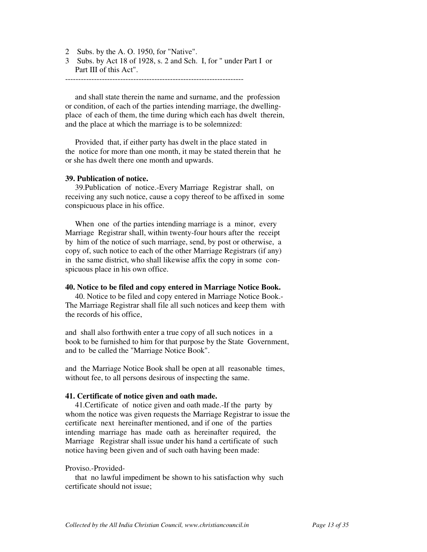- 2 Subs. by the A. O. 1950, for "Native".
- 3 Subs. by Act 18 of 1928, s. 2 and Sch. I, for " under Part I or Part III of this Act".

 and shall state therein the name and surname, and the profession or condition, of each of the parties intending marriage, the dwellingplace of each of them, the time during which each has dwelt therein, and the place at which the marriage is to be solemnized:

 Provided that, if either party has dwelt in the place stated in the notice for more than one month, it may be stated therein that he or she has dwelt there one month and upwards.

#### **39. Publication of notice.**

 39.Publication of notice.-Every Marriage Registrar shall, on receiving any such notice, cause a copy thereof to be affixed in some conspicuous place in his office.

 When one of the parties intending marriage is a minor, every Marriage Registrar shall, within twenty-four hours after the receipt by him of the notice of such marriage, send, by post or otherwise, a copy of, such notice to each of the other Marriage Registrars (if any) in the same district, who shall likewise affix the copy in some conspicuous place in his own office.

## **40. Notice to be filed and copy entered in Marriage Notice Book.**

 40. Notice to be filed and copy entered in Marriage Notice Book.- The Marriage Registrar shall file all such notices and keep them with the records of his office,

and shall also forthwith enter a true copy of all such notices in a book to be furnished to him for that purpose by the State Government, and to be called the "Marriage Notice Book".

and the Marriage Notice Book shall be open at all reasonable times, without fee, to all persons desirous of inspecting the same.

### **41. Certificate of notice given and oath made.**

 41.Certificate of notice given and oath made.-If the party by whom the notice was given requests the Marriage Registrar to issue the certificate next hereinafter mentioned, and if one of the parties intending marriage has made oath as hereinafter required, the Marriage Registrar shall issue under his hand a certificate of such notice having been given and of such oath having been made:

### Proviso.-Provided-

 that no lawful impediment be shown to his satisfaction why such certificate should not issue;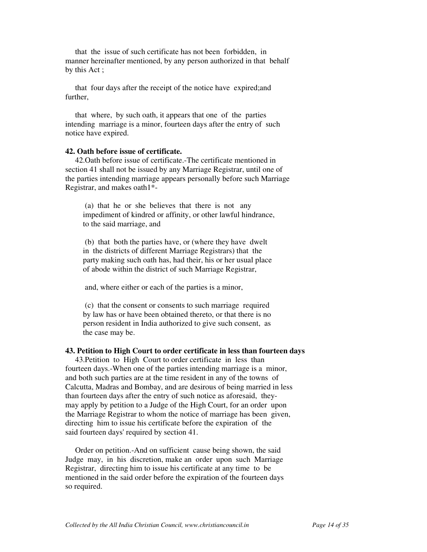that the issue of such certificate has not been forbidden, in manner hereinafter mentioned, by any person authorized in that behalf by this Act ;

 that four days after the receipt of the notice have expired;and further,

 that where, by such oath, it appears that one of the parties intending marriage is a minor, fourteen days after the entry of such notice have expired.

## **42. Oath before issue of certificate.**

 42.Oath before issue of certificate.-The certificate mentioned in section 41 shall not be issued by any Marriage Registrar, until one of the parties intending marriage appears personally before such Marriage Registrar, and makes oath1\*-

 (a) that he or she believes that there is not any impediment of kindred or affinity, or other lawful hindrance, to the said marriage, and

 (b) that both the parties have, or (where they have dwelt in the districts of different Marriage Registrars) that the party making such oath has, had their, his or her usual place of abode within the district of such Marriage Registrar,

and, where either or each of the parties is a minor,

 (c) that the consent or consents to such marriage required by law has or have been obtained thereto, or that there is no person resident in India authorized to give such consent, as the case may be.

### **43. Petition to High Court to order certificate in less than fourteen days**

 43.Petition to High Court to order certificate in less than fourteen days.-When one of the parties intending marriage is a minor, and both such parties are at the time resident in any of the towns of Calcutta, Madras and Bombay, and are desirous of being married in less than fourteen days after the entry of such notice as aforesaid, theymay apply by petition to a Judge of the High Court, for an order upon the Marriage Registrar to whom the notice of marriage has been given, directing him to issue his certificate before the expiration of the said fourteen days' required by section 41.

 Order on petition.-And on sufficient cause being shown, the said Judge may, in his discretion, make an order upon such Marriage Registrar, directing him to issue his certificate at any time to be mentioned in the said order before the expiration of the fourteen days so required.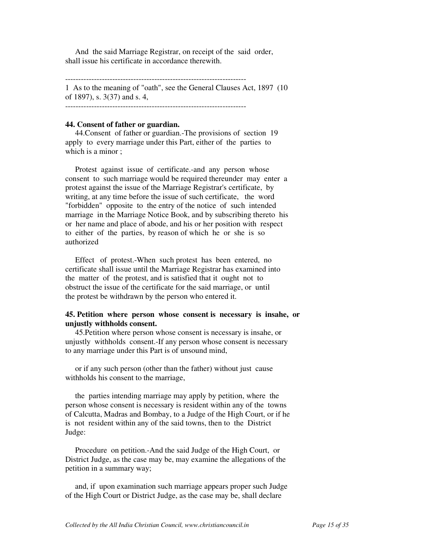And the said Marriage Registrar, on receipt of the said order, shall issue his certificate in accordance therewith.

---------------------------------------------------------------------

1 As to the meaning of "oath", see the General Clauses Act, 1897 (10 of 1897), s. 3(37) and s. 4,

---------------------------------------------------------------------

### **44. Consent of father or guardian.**

 44.Consent of father or guardian.-The provisions of section 19 apply to every marriage under this Part, either of the parties to which is a minor :

 Protest against issue of certificate.-and any person whose consent to such marriage would be required thereunder may enter a protest against the issue of the Marriage Registrar's certificate, by writing, at any time before the issue of such certificate, the word "forbidden" opposite to the entry of the notice of such intended marriage in the Marriage Notice Book, and by subscribing thereto his or her name and place of abode, and his or her position with respect to either of the parties, by reason of which he or she is so authorized

 Effect of protest.-When such protest has been entered, no certificate shall issue until the Marriage Registrar has examined into the matter of the protest, and is satisfied that it ought not to obstruct the issue of the certificate for the said marriage, or until the protest be withdrawn by the person who entered it.

## **45. Petition where person whose consent is necessary is insahe, or unjustly withholds consent.**

 45.Petition where person whose consent is necessary is insahe, or unjustly withholds consent.-If any person whose consent is necessary to any marriage under this Part is of unsound mind,

 or if any such person (other than the father) without just cause withholds his consent to the marriage,

 the parties intending marriage may apply by petition, where the person whose consent is necessary is resident within any of the towns of Calcutta, Madras and Bombay, to a Judge of the High Court, or if he is not resident within any of the said towns, then to the District Judge:

 Procedure on petition.-And the said Judge of the High Court, or District Judge, as the case may be, may examine the allegations of the petition in a summary way;

 and, if upon examination such marriage appears proper such Judge of the High Court or District Judge, as the case may be, shall declare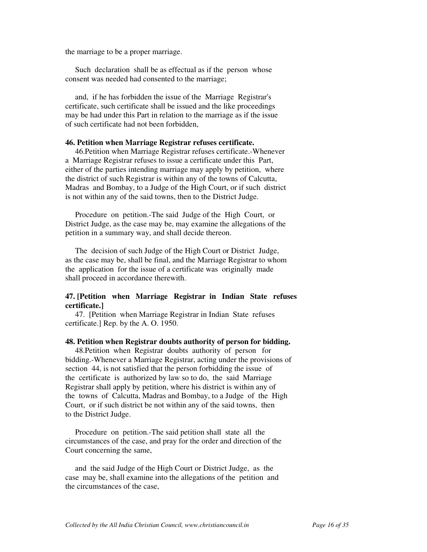the marriage to be a proper marriage.

 Such declaration shall be as effectual as if the person whose consent was needed had consented to the marriage;

 and, if he has forbidden the issue of the Marriage Registrar's certificate, such certificate shall be issued and the like proceedings may be had under this Part in relation to the marriage as if the issue of such certificate had not been forbidden,

### **46. Petition when Marriage Registrar refuses certificate.**

 46.Petition when Marriage Registrar refuses certificate.-Whenever a Marriage Registrar refuses to issue a certificate under this Part, either of the parties intending marriage may apply by petition, where the district of such Registrar is within any of the towns of Calcutta, Madras and Bombay, to a Judge of the High Court, or if such district is not within any of the said towns, then to the District Judge.

 Procedure on petition.-The said Judge of the High Court, or District Judge, as the case may be, may examine the allegations of the petition in a summary way, and shall decide thereon.

 The decision of such Judge of the High Court or District Judge, as the case may be, shall be final, and the Marriage Registrar to whom the application for the issue of a certificate was originally made shall proceed in accordance therewith.

## **47. [Petition when Marriage Registrar in Indian State refuses certificate.]**

 47. [Petition when Marriage Registrar in Indian State refuses certificate.] Rep. by the A. O. 1950.

### **48. Petition when Registrar doubts authority of person for bidding.**

 48.Petition when Registrar doubts authority of person for bidding.-Whenever a Marriage Registrar, acting under the provisions of section 44, is not satisfied that the person forbidding the issue of the certificate is authorized by law so to do, the said Marriage Registrar shall apply by petition, where his district is within any of the towns of Calcutta, Madras and Bombay, to a Judge of the High Court, or if such district be not within any of the said towns, then to the District Judge.

 Procedure on petition.-The said petition shall state all the circumstances of the case, and pray for the order and direction of the Court concerning the same,

 and the said Judge of the High Court or District Judge, as the case may be, shall examine into the allegations of the petition and the circumstances of the case,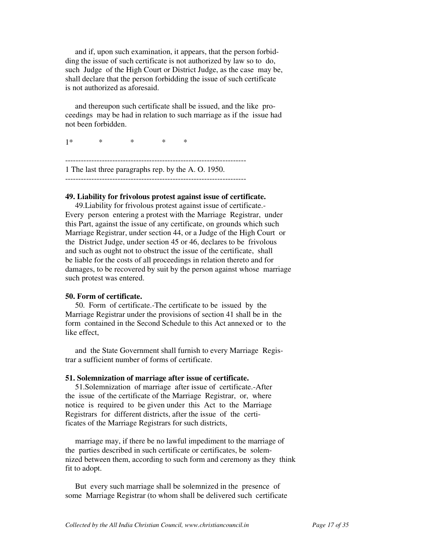and if, upon such examination, it appears, that the person forbidding the issue of such certificate is not authorized by law so to do, such Judge of the High Court or District Judge, as the case may be, shall declare that the person forbidding the issue of such certificate is not authorized as aforesaid.

 and thereupon such certificate shall be issued, and the like proceedings may be had in relation to such marriage as if the issue had not been forbidden.

1\* \* \* \* \*

--------------------------------------------------------------------- 1 The last three paragraphs rep. by the A. O. 1950. ---------------------------------------------------------------------

## **49. Liability for frivolous protest against issue of certificate.**

 49.Liability for frivolous protest against issue of certificate.- Every person entering a protest with the Marriage Registrar, under this Part, against the issue of any certificate, on grounds which such Marriage Registrar, under section 44, or a Judge of the High Court or the District Judge, under section 45 or 46, declares to be frivolous and such as ought not to obstruct the issue of the certificate, shall be liable for the costs of all proceedings in relation thereto and for damages, to be recovered by suit by the person against whose marriage such protest was entered.

## **50. Form of certificate.**

 50. Form of certificate.-The certificate to be issued by the Marriage Registrar under the provisions of section 41 shall be in the form contained in the Second Schedule to this Act annexed or to the like effect,

 and the State Government shall furnish to every Marriage Registrar a sufficient number of forms of certificate.

## **51. Solemnization of marriage after issue of certificate.**

 51.Solemnization of marriage after issue of certificate.-After the issue of the certificate of the Marriage Registrar, or, where notice is required to be given under this Act to the Marriage Registrars for different districts, after the issue of the certificates of the Marriage Registrars for such districts,

 marriage may, if there be no lawful impediment to the marriage of the parties described in such certificate or certificates, be solemnized between them, according to such form and ceremony as they think fit to adopt.

 But every such marriage shall be solemnized in the presence of some Marriage Registrar (to whom shall be delivered such certificate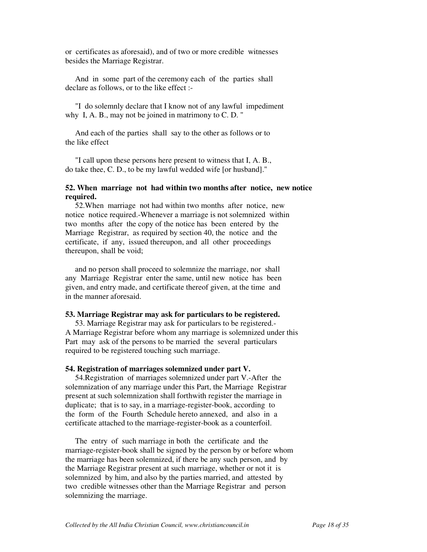or certificates as aforesaid), and of two or more credible witnesses besides the Marriage Registrar.

 And in some part of the ceremony each of the parties shall declare as follows, or to the like effect :-

 "I do solemnly declare that I know not of any lawful impediment why I, A. B., may not be joined in matrimony to C. D. "

 And each of the parties shall say to the other as follows or to the like effect

 "I call upon these persons here present to witness that I, A. B., do take thee, C. D., to be my lawful wedded wife [or husband]."

## **52. When marriage not had within two months after notice, new notice required.**

 52.When marriage not had within two months after notice, new notice notice required.-Whenever a marriage is not solemnized within two months after the copy of the notice has been entered by the Marriage Registrar, as required by section 40, the notice and the certificate, if any, issued thereupon, and all other proceedings thereupon, shall be void;

 and no person shall proceed to solemnize the marriage, nor shall any Marriage Registrar enter the same, until new notice has been given, and entry made, and certificate thereof given, at the time and in the manner aforesaid.

### **53. Marriage Registrar may ask for particulars to be registered.**

 53. Marriage Registrar may ask for particulars to be registered.- A Marriage Registrar before whom any marriage is solemnized under this Part may ask of the persons to be married the several particulars required to be registered touching such marriage.

### **54. Registration of marriages solemnized under part V.**

 54.Registration of marriages solemnized under part V.-After the solemnization of any marriage under this Part, the Marriage Registrar present at such solemnization shall forthwith register the marriage in duplicate; that is to say, in a marriage-register-book, according to the form of the Fourth Schedule hereto annexed, and also in a certificate attached to the marriage-register-book as a counterfoil.

 The entry of such marriage in both the certificate and the marriage-register-book shall be signed by the person by or before whom the marriage has been solemnized, if there be any such person, and by the Marriage Registrar present at such marriage, whether or not it is solemnized by him, and also by the parties married, and attested by two credible witnesses other than the Marriage Registrar and person solemnizing the marriage.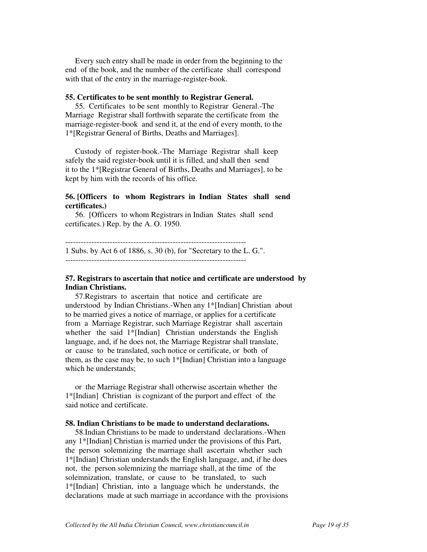Every such entry shall be made in order from the beginning to the end of the book, and the number of the certificate shall correspond with that of the entry in the marriage-register-book.

#### **55. Certificates to be sent monthly to Registrar General.**

 55. Certificates to be sent monthly to Registrar General.-The Marriage Registrar shall forthwith separate the certificate from the marriage-register-book and send it, at the end of every month, to the 1\*[Registrar General of Births, Deaths and Marriages].

 Custody of register-book.-The Marriage Registrar shall keep safely the said register-book until it is filled, and shall then send it to the 1\*[Registrar General of Births, Deaths and Marriages], to be kept by him with the records of his office.

## **56. [Officers to whom Registrars in Indian States shall send certificates.)**

 56. [Officers to whom Registrars in Indian States shall send certificates.) Rep. by the A. O. 1950.

--------------------------------------------------------------------- 1 Subs. by Act 6 of 1886, s. 30 (b), for "Secretary to the L. G.". ---------------------------------------------------------------------

## **57. Registrars to ascertain that notice and certificate are understood by Indian Christians.**

 57.Registrars to ascertain that notice and certificate are understood by Indian Christians.-When any 1\*[Indian] Christian about to be married gives a notice of marriage, or applies for a certificate from a Marriage Registrar, such Marriage Registrar shall ascertain whether the said 1\*[Indian] Christian understands the English language, and, if he does not, the Marriage Registrar shall translate, or cause to be translated, such notice or certificate, or both of them, as the case may be, to such 1\*[Indian] Christian into a language which he understands;

 or the Marriage Registrar shall otherwise ascertain whether the 1\*[Indian] Christian is cognizant of the purport and effect of the said notice and certificate.

#### **58. Indian Christians to be made to understand declarations.**

 58.Indian Christians to be made to understand declarations.-When any 1\*[Indian] Christian is married under the provisions of this Part, the person solemnizing the marriage shall ascertain whether such 1\*[Indian] Christian understands the English language, and, if he does not, the person solemnizing the marriage shall, at the time of the solemnization, translate, or cause to be translated, to such 1\*[Indian] Christian, into a language which he understands, the declarations made at such marriage in accordance with the provisions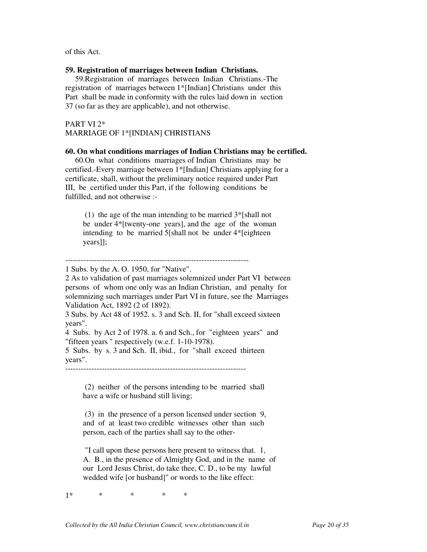of this Act.

#### **59. Registration of marriages between Indian Christians.**

 59.Registration of marriages between Indian Christians.-The registration of marriages between 1\*[Indian] Christians under this Part shall be made in conformity with the rules laid down in section 37 (so far as they are applicable), and not otherwise.

## PART VI 2\* MARRIAGE OF 1\*[INDIAN] CHRISTIANS

### **60. On what conditions marriages of Indian Christians may be certified.**

 60.On what conditions marriages of Indian Christians may be certified.-Every marriage between 1\*[Indian] Christians applying for a certificate, shall, without the preliminary notice required under Part III, be certified under this Part, if the following conditions be fulfilled, and not otherwise :-

 (1) the age of the man intending to be married 3\*[shall not be under 4\*[twenty-one years], and the age of the woman intending to be married 5[shall not be under 4\*[eighteen years]];

2 As to validation of past marriages solemnized under Part VI between persons of whom one only was an Indian Christian, and penalty for solemnizing such marriages under Part VI in future, see the Marriages Validation Act, 1892 (2 of 1892).

3 Subs. by Act 48 of 1952. s. 3 and Sch. II, for "shall exceed sixteen years".

4 Subs. by Act 2 of 1978. a. 6 and Sch., for "eighteen years" and "fifteen years " respectively (w.e.f. 1-10-1978).

5 Subs. by s. 3 and Sch. II, ibid., for "shall exceed thirteen years".

---------------------------------------------------------------------

 (2) neither of the persons intending to be married shall have a wife or husband still living;

 (3) in the presence of a person licensed under section 9, and of at least two credible witnesses other than such person, each of the parties shall say to the other-

 "I call upon these persons here present to witness that. 1, A. B., in the presence of Almighty God, and in the name of our Lord Jesus Christ, do take thee, C. D., to be my lawful wedded wife [or husband]" or words to the like effect:

1\* \* \* \* \*

<sup>----------------------------------------------------------------------</sup> 

<sup>1</sup> Subs. by the A. O. 1950, for "Native".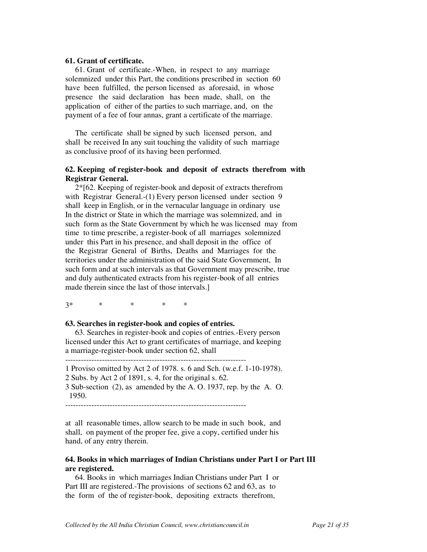### **61. Grant of certificate.**

 61. Grant of certificate.-When, in respect to any marriage solemnized under this Part, the conditions prescribed in section 60 have been fulfilled, the person licensed as aforesaid, in whose presence the said declaration has been made, shall, on the application of either of the parties to such marriage, and, on the payment of a fee of four annas, grant a certificate of the marriage.

 The certificate shall be signed by such licensed person, and shall be received In any suit touching the validity of such marriage as conclusive proof of its having been performed.

## **62. Keeping of register-book and deposit of extracts therefrom with Registrar General.**

 2\*[62. Keeping of register-book and deposit of extracts therefrom with Registrar General.-(1) Every person licensed under section 9 shall keep in English, or in the vernacular language in ordinary use In the district or State in which the marriage was solemnized, and in such form as the State Government by which he was licensed may from time to time prescribe, a register-book of all marriages solemnized under this Part in his presence, and shall deposit in the office of the Registrar General of Births, Deaths and Marriages for the territories under the administration of the said State Government, In such form and at such intervals as that Government may prescribe, true and duly authenticated extracts from his register-book of all entries made therein since the last of those intervals.]

3\* \* \* \* \*

## **63. Searches in register-book and copies of entries.**

 63. Searches in register-book and copies of entries.-Every person licensed under this Act to grant certificates of marriage, and keeping a marriage-register-book under section 62, shall

---------------------------------------------------------------------

1 Proviso omitted by Act 2 of 1978. s. 6 and Sch. (w.e.f. 1-10-1978).

2 Subs. by Act 2 of 1891, s. 4, for the original s. 62.

3 Sub-section (2), as amended by the A. O. 1937, rep. by the A. O. 1950.

at all reasonable times, allow search to be made in such book, and shall, on payment of the proper fee, give a copy, certified under his hand, of any entry therein.

## **64. Books in which marriages of Indian Christians under Part I or Part III are registered.**

 64. Books in which marriages Indian Christians under Part I or Part III are registered.-The provisions of sections 62 and 63, as to the form of the of register-book, depositing extracts therefrom,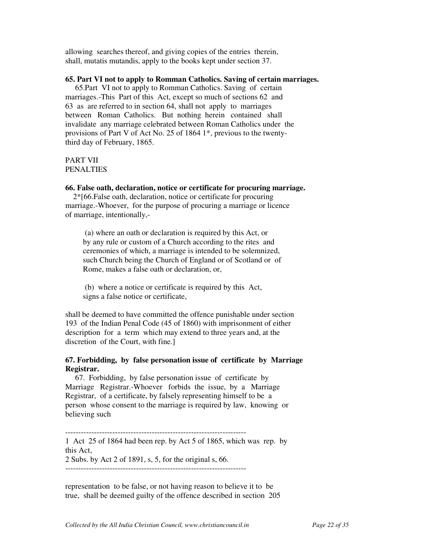allowing searches thereof, and giving copies of the entries therein, shall, mutatis mutandis, apply to the books kept under section 37.

### **65. Part VI not to apply to Romman Catholics. Saving of certain marriages.**

 65.Part VI not to apply to Romman Catholics. Saving of certain marriages.-This Part of this Act, except so much of sections 62 and 63 as are referred to in section 64, shall not apply to marriages between Roman Catholics. But nothing herein contained shall invalidate any marriage celebrated between Roman Catholics under the provisions of Part V of Act No. 25 of 1864 1\*, previous to the twentythird day of February, 1865.

## PART VII PENALTIES

### **66. False oath, declaration, notice or certificate for procuring marriage.**

 2\*[66.False oath, declaration, notice or certificate for procuring marriage.-Whoever, for the purpose of procuring a marriage or licence of marriage, intentionally,-

 (a) where an oath or declaration is required by this Act, or by any rule or custom of a Church according to the rites and ceremonies of which, a marriage is intended to be solemnized, such Church being the Church of England or of Scotland or of Rome, makes a false oath or declaration, or,

 (b) where a notice or certificate is required by this Act, signs a false notice or certificate,

shall be deemed to have committed the offence punishable under section 193 of the Indian Penal Code (45 of 1860) with imprisonment of either description for a term which may extend to three years and, at the discretion of the Court, with fine.]

## **67. Forbidding, by false personation issue of certificate by Marriage Registrar.**

 67. Forbidding, by false personation issue of certificate by Marriage Registrar.-Whoever forbids the issue, by a Marriage Registrar, of a certificate, by falsely representing himself to be a person whose consent to the marriage is required by law, knowing or believing such

--------------------------------------------------------------------- 1 Act 25 of 1864 had been rep. by Act 5 of 1865, which was rep. by this Act,

2 Subs. by Act 2 of 1891, s, 5, for the original s, 66. ---------------------------------------------------------------------

representation to be false, or not having reason to believe it to be true, shall be deemed guilty of the offence described in section 205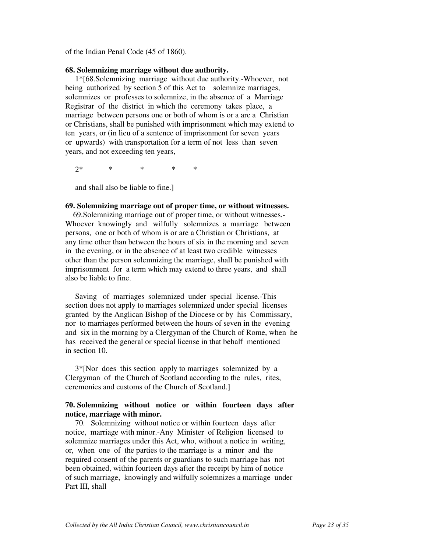of the Indian Penal Code (45 of 1860).

#### **68. Solemnizing marriage without due authority.**

 1\*[68.Solemnizing marriage without due authority.-Whoever, not being authorized by section 5 of this Act to solemnize marriages, solemnizes or professes to solemnize, in the absence of a Marriage Registrar of the district in which the ceremony takes place, a marriage between persons one or both of whom is or a are a Christian or Christians, shall be punished with imprisonment which may extend to ten years, or (in lieu of a sentence of imprisonment for seven years or upwards) with transportation for a term of not less than seven years, and not exceeding ten years,

 $2^*$  \* \* \* \*

and shall also be liable to fine.]

### **69. Solemnizing marriage out of proper time, or without witnesses.**

 69.Solemnizing marriage out of proper time, or without witnesses.- Whoever knowingly and wilfully solemnizes a marriage between persons, one or both of whom is or are a Christian or Christians, at any time other than between the hours of six in the morning and seven in the evening, or in the absence of at least two credible witnesses other than the person solemnizing the marriage, shall be punished with imprisonment for a term which may extend to three years, and shall also be liable to fine.

 Saving of marriages solemnized under special license.-This section does not apply to marriages solemnized under special licenses granted by the Anglican Bishop of the Diocese or by his Commissary, nor to marriages performed between the hours of seven in the evening and six in the morning by a Clergyman of the Church of Rome, when he has received the general or special license in that behalf mentioned in section 10.

 3\*[Nor does this section apply to marriages solemnized by a Clergyman of the Church of Scotland according to the rules, rites, ceremonies and customs of the Church of Scotland.]

## **70. Solemnizing without notice or within fourteen days after notice, marriage with minor.**

 70. Solemnizing without notice or within fourteen days after notice, marriage with minor.-Any Minister of Religion licensed to solemnize marriages under this Act, who, without a notice in writing, or, when one of the parties to the marriage is a minor and the required consent of the parents or guardians to such marriage has not been obtained, within fourteen days after the receipt by him of notice of such marriage, knowingly and wilfully solemnizes a marriage under Part III, shall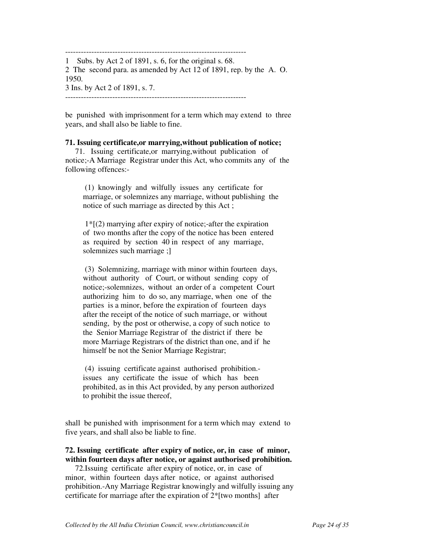--------------------------------------------------------------------- 1 Subs. by Act 2 of 1891, s. 6, for the original s. 68. 2 The second para. as amended by Act 12 of 1891, rep. by the A. O. 1950. 3 Ins. by Act 2 of 1891, s. 7.

be punished with imprisonment for a term which may extend to three years, and shall also be liable to fine.

## **71. Issuing certificate,or marrying,without publication of notice;**

 71. Issuing certificate,or marrying,without publication of notice;-A Marriage Registrar under this Act, who commits any of the following offences:-

 (1) knowingly and wilfully issues any certificate for marriage, or solemnizes any marriage, without publishing the notice of such marriage as directed by this Act ;

 $1*(2)$  marrying after expiry of notice;-after the expiration of two months after the copy of the notice has been entered as required by section 40 in respect of any marriage, solemnizes such marriage ;]

 (3) Solemnizing, marriage with minor within fourteen days, without authority of Court, or without sending copy of notice;-solemnizes, without an order of a competent Court authorizing him to do so, any marriage, when one of the parties is a minor, before the expiration of fourteen days after the receipt of the notice of such marriage, or without sending, by the post or otherwise, a copy of such notice to the Senior Marriage Registrar of the district if there be more Marriage Registrars of the district than one, and if he himself be not the Senior Marriage Registrar;

 (4) issuing certificate against authorised prohibition. issues any certificate the issue of which has been prohibited, as in this Act provided, by any person authorized to prohibit the issue thereof,

shall be punished with imprisonment for a term which may extend to five years, and shall also be liable to fine.

## **72. Issuing certificate after expiry of notice, or, in case of minor, within fourteen days after notice, or against authorised prohibition.**

 72.Issuing certificate after expiry of notice, or, in case of minor, within fourteen days after notice, or against authorised prohibition.-Any Marriage Registrar knowingly and wilfully issuing any certificate for marriage after the expiration of 2\*[two months] after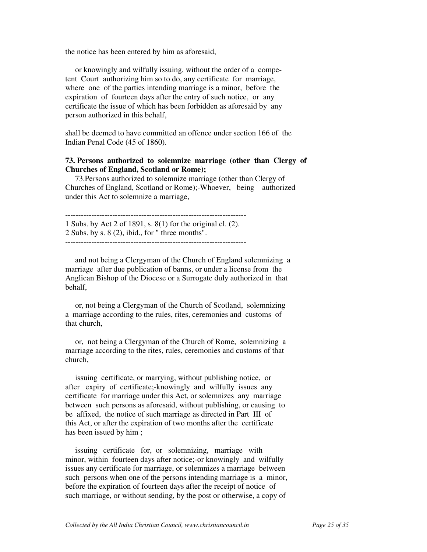the notice has been entered by him as aforesaid,

 or knowingly and wilfully issuing, without the order of a competent Court authorizing him so to do, any certificate for marriage, where one of the parties intending marriage is a minor, before the expiration of fourteen days after the entry of such notice, or any certificate the issue of which has been forbidden as aforesaid by any person authorized in this behalf,

shall be deemed to have committed an offence under section 166 of the Indian Penal Code (45 of 1860).

## **73. Persons authorized to solemnize marriage (other than Clergy of Churches of England, Scotland or Rome);**

 73.Persons authorized to solemnize marriage (other than Clergy of Churches of England, Scotland or Rome);-Whoever, being authorized under this Act to solemnize a marriage,

--------------------------------------------------------------------- 1 Subs. by Act 2 of 1891, s. 8(1) for the original cl. (2). 2 Subs. by s. 8 (2), ibid., for " three months". ---------------------------------------------------------------------

 and not being a Clergyman of the Church of England solemnizing a marriage after due publication of banns, or under a license from the Anglican Bishop of the Diocese or a Surrogate duly authorized in that behalf,

 or, not being a Clergyman of the Church of Scotland, solemnizing a marriage according to the rules, rites, ceremonies and customs of that church,

 or, not being a Clergyman of the Church of Rome, solemnizing a marriage according to the rites, rules, ceremonies and customs of that church,

 issuing certificate, or marrying, without publishing notice, or after expiry of certificate;-knowingly and wilfully issues any certificate for marriage under this Act, or solemnizes any marriage between such persons as aforesaid, without publishing, or causing to be affixed, the notice of such marriage as directed in Part III of this Act, or after the expiration of two months after the certificate has been issued by him;

 issuing certificate for, or solemnizing, marriage with minor, within fourteen days after notice;-or knowingly and wilfully issues any certificate for marriage, or solemnizes a marriage between such persons when one of the persons intending marriage is a minor, before the expiration of fourteen days after the receipt of notice of such marriage, or without sending, by the post or otherwise, a copy of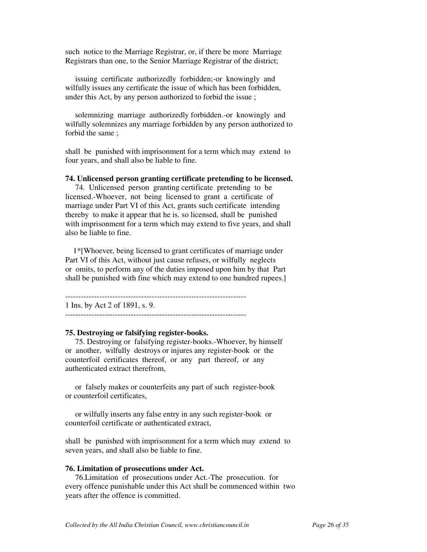such notice to the Marriage Registrar, or, if there be more Marriage Registrars than one, to the Senior Marriage Registrar of the district;

 issuing certificate authorizedly forbidden;-or knowingly and wilfully issues any certificate the issue of which has been forbidden, under this Act, by any person authorized to forbid the issue ;

 solemnizing marriage authorizedly forbidden.-or knowingly and wilfully solemnizes any marriage forbidden by any person authorized to forbid the same ;

shall be punished with imprisonment for a term which may extend to four years, and shall also be liable to fine.

#### **74. Unlicensed person granting certificate pretending to be licensed.**

 74. Unlicensed person granting certificate pretending to be licensed.-Whoever, not being licensed to grant a certificate of marriage under Part VI of this Act, grants such certificate intending thereby to make it appear that he is. so licensed, shall be punished with imprisonment for a term which may extend to five years, and shall also be liable to fine.

 1\*[Whoever, being licensed to grant certificates of marriage under Part VI of this Act, without just cause refuses, or wilfully neglects or omits, to perform any of the duties imposed upon him by that Part shall be punished with fine which may extend to one hundred rupees.]

---------------------------------------------------------------------

1 Ins. by Act 2 of 1891, s. 9.

---------------------------------------------------------------------

### **75. Destroying or falsifying register-books.**

 75. Destroying or falsifying register-books.-Whoever, by himself or another, wilfully destroys or injures any register-book or the counterfoil certificates thereof, or any part thereof, or any authenticated extract therefrom,

 or falsely makes or counterfeits any part of such register-book or counterfoil certificates,

 or wilfully inserts any false entry in any such register-book or counterfoil certificate or authenticated extract,

shall be punished with imprisonment for a term which may extend to seven years, and shall also be liable to fine.

### **76. Limitation of prosecutions under Act.**

 76.Limitation of prosecutions under Act.-The prosecution. for every offence punishable under this Act shall be commenced within two years after the offence is committed.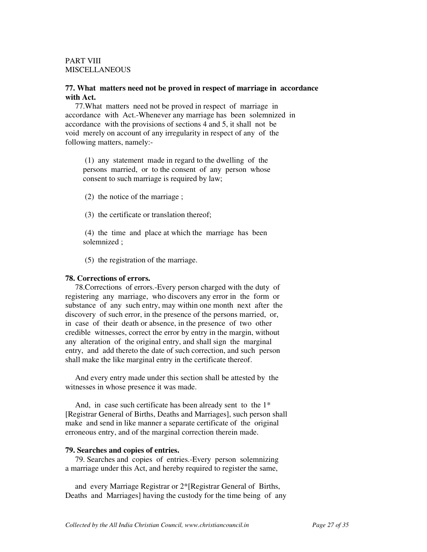## PART VIII MISCELLANEOUS

## **77. What matters need not be proved in respect of marriage in accordance with Act.**

 77.What matters need not be proved in respect of marriage in accordance with Act.-Whenever any marriage has been solemnized in accordance with the provisions of sections 4 and 5, it shall not be void merely on account of any irregularity in respect of any of the following matters, namely:-

 (1) any statement made in regard to the dwelling of the persons married, or to the consent of any person whose consent to such marriage is required by law;

(2) the notice of the marriage ;

(3) the certificate or translation thereof;

 (4) the time and place at which the marriage has been solemnized ;

(5) the registration of the marriage.

### **78. Corrections of errors.**

 78.Corrections of errors.-Every person charged with the duty of registering any marriage, who discovers any error in the form or substance of any such entry, may within one month next after the discovery of such error, in the presence of the persons married, or, in case of their death or absence, in the presence of two other credible witnesses, correct the error by entry in the margin, without any alteration of the original entry, and shall sign the marginal entry, and add thereto the date of such correction, and such person shall make the like marginal entry in the certificate thereof.

 And every entry made under this section shall be attested by the witnesses in whose presence it was made.

And, in case such certificate has been already sent to the 1<sup>\*</sup> [Registrar General of Births, Deaths and Marriages], such person shall make and send in like manner a separate certificate of the original erroneous entry, and of the marginal correction therein made.

### **79. Searches and copies of entries.**

 79. Searches and copies of entries.-Every person solemnizing a marriage under this Act, and hereby required to register the same,

 and every Marriage Registrar or 2\*[Registrar General of Births, Deaths and Marriages] having the custody for the time being of any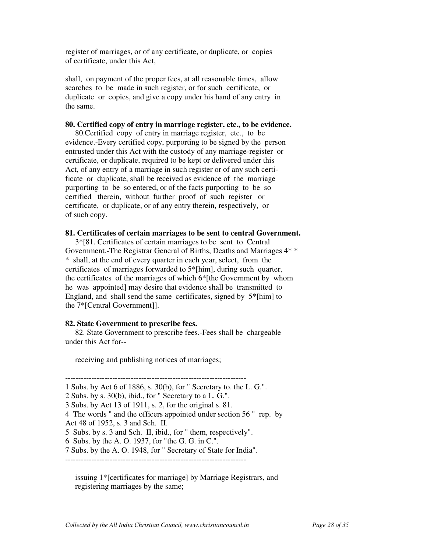register of marriages, or of any certificate, or duplicate, or copies of certificate, under this Act,

shall, on payment of the proper fees, at all reasonable times, allow searches to be made in such register, or for such certificate, or duplicate or copies, and give a copy under his hand of any entry in the same.

### **80. Certified copy of entry in marriage register, etc., to be evidence.**

 80.Certified copy of entry in marriage register, etc., to be evidence.-Every certified copy, purporting to be signed by the person entrusted under this Act with the custody of any marriage-register or certificate, or duplicate, required to be kept or delivered under this Act, of any entry of a marriage in such register or of any such certificate or duplicate, shall be received as evidence of the marriage purporting to be so entered, or of the facts purporting to be so certified therein, without further proof of such register or certificate, or duplicate, or of any entry therein, respectively, or of such copy.

## **81. Certificates of certain marriages to be sent to central Government.**

 3\*[81. Certificates of certain marriages to be sent to Central Government.-The Registrar General of Births, Deaths and Marriages 4\* \* \* shall, at the end of every quarter in each year, select, from the certificates of marriages forwarded to 5\*[him], during such quarter, the certificates of the marriages of which 6\*[the Government by whom he was appointed] may desire that evidence shall be transmitted to England, and shall send the same certificates, signed by 5\*[him] to the 7\*[Central Government]].

## **82. State Government to prescribe fees.**

 82. State Government to prescribe fees.-Fees shall be chargeable under this Act for--

receiving and publishing notices of marriages;

--------------------------------------------------------------------- 1 Subs. by Act 6 of 1886, s. 30(b), for " Secretary to. the L. G.". 2 Subs. by s. 30(b), ibid., for " Secretary to a L. G.". 3 Subs. by Act 13 of 1911, s. 2, for the original s. 81. 4 The words " and the officers appointed under section 56 " rep. by Act 48 of 1952, s. 3 and Sch. II. 5 Subs. by s. 3 and Sch. II, ibid., for " them, respectively". 6 Subs. by the A. O. 1937, for "the G. G. in C.". 7 Subs. by the A. O. 1948, for " Secretary of State for India".

---------------------------------------------------------------------

 issuing 1\*[certificates for marriage] by Marriage Registrars, and registering marriages by the same;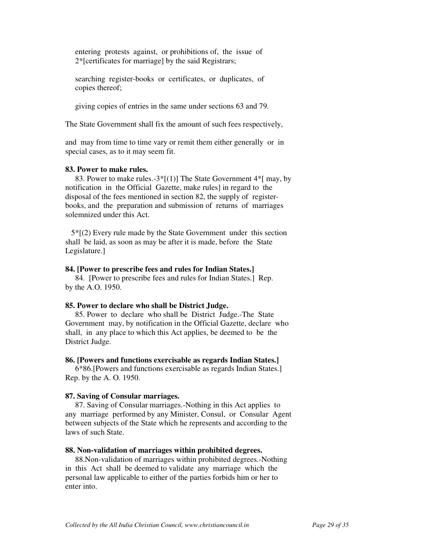entering protests against, or prohibitions of, the issue of 2\*[certificates for marriage] by the said Registrars;

 searching register-books or certificates, or duplicates, of copies thereof;

giving copies of entries in the same under sections 63 and 79.

The State Government shall fix the amount of such fees respectively,

and may from time to time vary or remit them either generally or in special cases, as to it may seem fit.

## **83. Power to make rules.**

83. Power to make rules.-3\*[(1)] The State Government  $4*$ [ may, by notification in the Official Gazette, make rules] in regard to the disposal of the fees mentioned in section 82, the supply of registerbooks, and the preparation and submission of returns of marriages solemnized under this Act.

 5\*[(2) Every rule made by the State Government under this section shall be laid, as soon as may be after it is made, before the State Legislature.]

#### **84. [Power to prescribe fees and rules for Indian States.]**

 84. [Power to prescribe fees and rules for Indian States.] Rep. by the A.O. 1950.

#### **85. Power to declare who shall be District Judge.**

 85. Power to declare who shall be District Judge.-The State Government may, by notification in the Official Gazette, declare who shall, in any place to which this Act applies, be deemed to be the District Judge.

#### **86. [Powers and functions exercisable as regards Indian States.]**

 6\*86.[Powers and functions exercisable as regards Indian States.] Rep. by the A. O. 1950.

### **87. Saving of Consular marriages.**

 87. Saving of Consular marriages.-Nothing in this Act applies to any marriage performed by any Minister, Consul, or Consular Agent between subjects of the State which he represents and according to the laws of such State.

#### **88. Non-validation of marriages within prohibited degrees.**

 88.Non-validation of marriages within prohibited degrees.-Nothing in this Act shall be deemed to validate any marriage which the personal law applicable to either of the parties forbids him or her to enter into.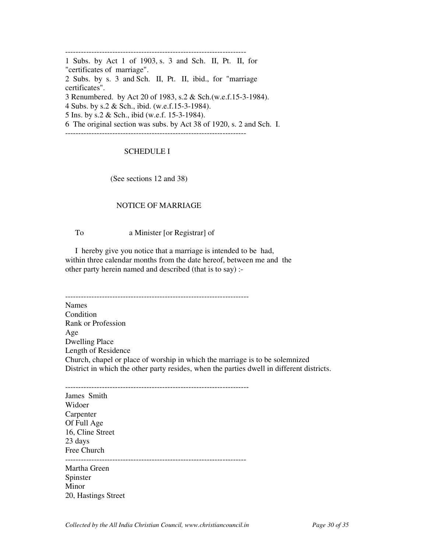--------------------------------------------------------------------- 1 Subs. by Act 1 of 1903, s. 3 and Sch. II, Pt. II, for "certificates of marriage". 2 Subs. by s. 3 and Sch. II, Pt. II, ibid., for "marriage certificates". 3 Renumbered. by Act 20 of 1983, s.2 & Sch.(w.e.f.15-3-1984). 4 Subs. by s.2 & Sch., ibid. (w.e.f.15-3-1984). 5 Ins. by s.2 & Sch., ibid (w.e.f. 15-3-1984). 6 The original section was subs. by Act 38 of 1920, s. 2 and Sch. I. ---------------------------------------------------------------------

## SCHEDULE I

(See sections 12 and 38)

### NOTICE OF MARRIAGE

To a Minister [or Registrar] of

 I hereby give you notice that a marriage is intended to be had, within three calendar months from the date hereof, between me and the other party herein named and described (that is to say) :-

---------------------------------------------------------------------- Names **Condition** Rank or Profession Age Dwelling Place Length of Residence Church, chapel or place of worship in which the marriage is to be solemnized District in which the other party resides, when the parties dwell in different districts.

---------------------------------------------------------------------- James Smith Widoer Carpenter Of Full Age 16, Cline Street 23 days Free Church --------------------------------------------------------------------- Martha Green

Spinster Minor 20, Hastings Street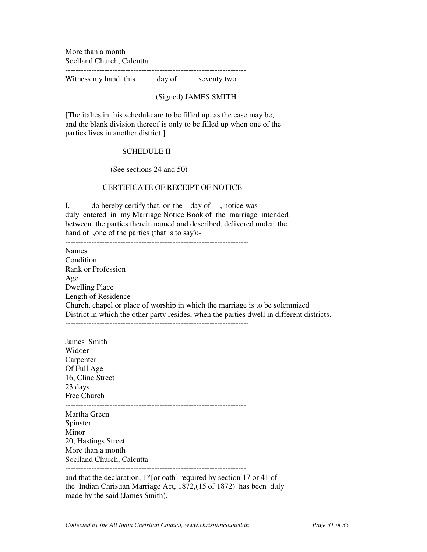More than a month Soclland Church, Calcutta

---------------------------------------------------------------------

Witness my hand, this day of seventy two.

### (Signed) JAMES SMITH

[The italics in this schedule are to be filled up, as the case may be, and the blank division thereof is only to be filled up when one of the parties lives in another district.]

## SCHEDULE II

(See sections 24 and 50)

## CERTIFICATE OF RECEIPT OF NOTICE

I, do hereby certify that, on the day of , notice was duly entered in my Marriage Notice Book of the marriage intended between the parties therein named and described, delivered under the hand of ,one of the parties (that is to say):-

---------------------------------------------------------------------- Names Condition Rank or Profession Age Dwelling Place Length of Residence Church, chapel or place of worship in which the marriage is to be solemnized District in which the other party resides, when the parties dwell in different districts.

----------------------------------------------------------------------

James Smith Widoer Carpenter Of Full Age 16, Cline Street 23 days Free Church --------------------------------------------------------------------- Martha Green Spinster Minor 20, Hastings Street More than a month Soclland Church, Calcutta ---------------------------------------------------------------------

and that the declaration, 1\*[or oath] required by section 17 or 41 of the Indian Christian Marriage Act, 1872,(15 of 1872) has been duly made by the said (James Smith).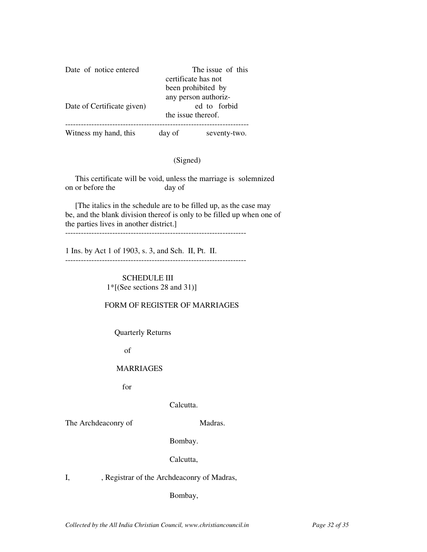| Date of notice entered     | The issue of this |                                    |  |
|----------------------------|-------------------|------------------------------------|--|
|                            |                   | certificate has not                |  |
|                            |                   | been prohibited by                 |  |
|                            |                   | any person authoriz-               |  |
| Date of Certificate given) |                   | ed to forbid<br>the issue thereof. |  |
|                            |                   |                                    |  |
| Witness my hand, this      | day of            | seventy-two.                       |  |

## (Signed)

 This certificate will be void, unless the marriage is solemnized on or before the day of

 [The italics in the schedule are to be filled up, as the case may be, and the blank division thereof is only to be filled up when one of the parties lives in another district.]

---------------------------------------------------------------------

1 Ins. by Act 1 of 1903, s. 3, and Sch. II, Pt. II. ---------------------------------------------------------------------

> SCHEDULE III 1\*[(See sections 28 and 31)]

### FORM OF REGISTER OF MARRIAGES

Quarterly Returns

of

### MARRIAGES

for

Calcutta.

The Archdeaconry of Madras.

Bombay.

Calcutta,

I, , Registrar of the Archdeaconry of Madras,

Bombay,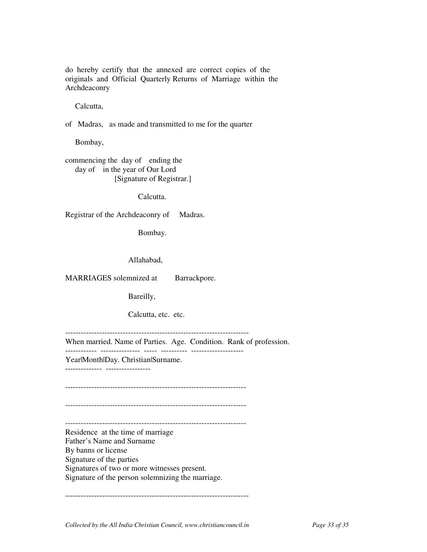do hereby certify that the annexed are correct copies of the originals and Official Quarterly Returns of Marriage within the Archdeaconry

Calcutta,

of Madras, as made and transmitted to me for the quarter

Bombay,

commencing the day of ending the day of in the year of Our Lord [Signature of Registrar.]

Calcutta.

Registrar of the Archdeaconry of Madras.

Bombay.

Allahabad,

MARRIAGES solemnized at Barrackpore.

Bareilly,

Calcutta, etc. etc.

----------------------------------------------------------------------

When married. Name of Parties. Age. Condition. Rank of profession.

------------ --------------- ----- ---------- -------------------- Year|Month|Day. Christian|Surname.

-------------- -----------------

---------------------------------------------------------------------

---------------------------------------------------------------------

--------------------------------------------------------------------- Residence at the time of marriage

Father's Name and Surname By banns or license Signature of the parties

Signatures of two or more witnesses present.

Signature of the person solemnizing the marriage.

----------------------------------------------------------------------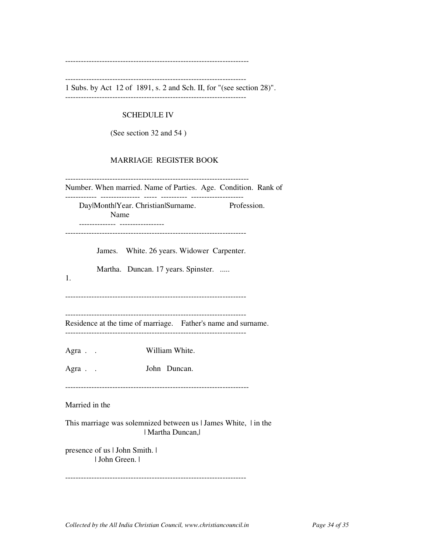----------------------------------------------------------------------

---------------------------------------------------------------------

1 Subs. by Act 12 of 1891, s. 2 and Sch. II, for "(see section 28)". ---------------------------------------------------------------------

## SCHEDULE IV

(See section 32 and 54 )

## MARRIAGE REGISTER BOOK

---------------------------------------------------------------------- Number. When married. Name of Parties. Age. Condition. Rank of ------------ --------------- ----- ---------- -------------------- Day|Month|Year. Christian|Surname. Profession. Name -------------- ----------------- --------------------------------------------------------------------- James. White. 26 years. Widower Carpenter. Martha. Duncan. 17 years. Spinster. ..... 1. --------------------------------------------------------------------- --------------------------------------------------------------------- Residence at the time of marriage. Father's name and surname. --------------------------------------------------------------------- Agra . . William White. Agra . . John Duncan. ---------------------------------------------------------------------- Married in the This marriage was solemnized between us | James White, | in the | Martha Duncan,| presence of us | John Smith. | | John Green. | ---------------------------------------------------------------------